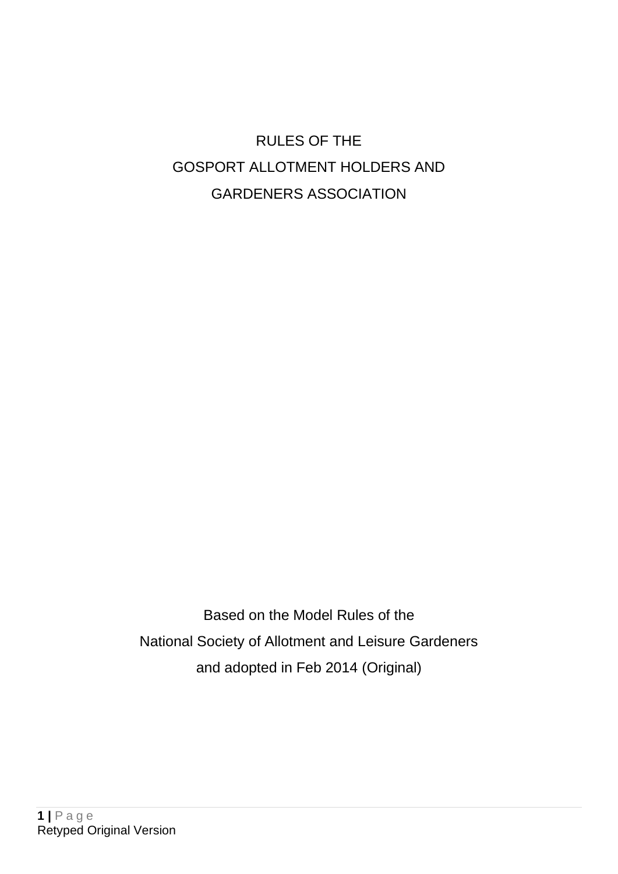# RULES OF THE GOSPORT ALLOTMENT HOLDERS AND GARDENERS ASSOCIATION

Based on the Model Rules of the National Society of Allotment and Leisure Gardeners and adopted in Feb 2014 (Original)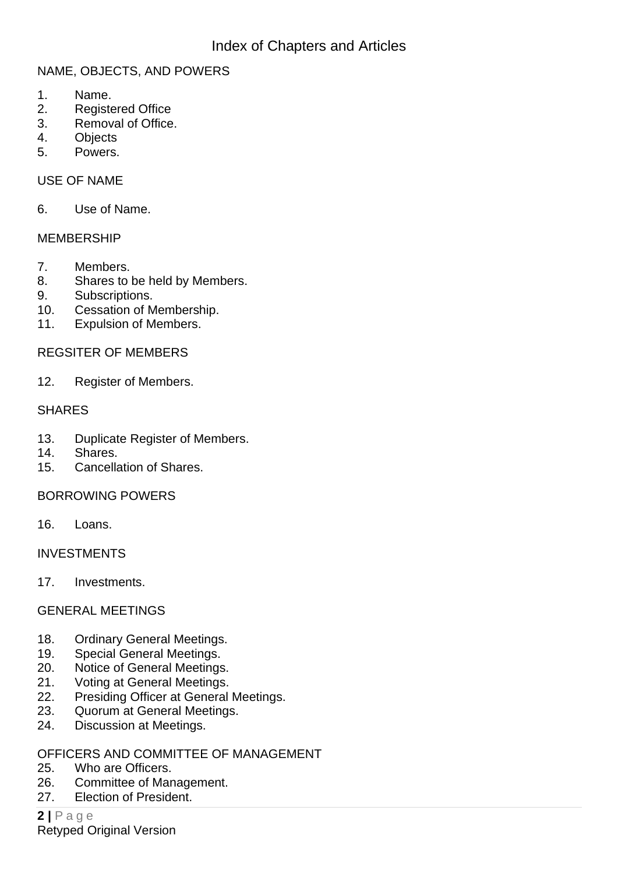## NAME, OBJECTS, AND POWERS

- 1. Name.
- 2. Registered Office
- 3. Removal of Office.
- 4. Objects
- 5. Powers.

#### USE OF NAME

6. Use of Name.

#### MEMBERSHIP

- 7. Members.
- 8. Shares to be held by Members.
- 9. Subscriptions.
- 10. Cessation of Membership.
- 11. Expulsion of Members.

#### REGSITER OF MEMBERS

12. Register of Members.

#### SHARES

- 13. Duplicate Register of Members.
- 14. Shares.
- 15. Cancellation of Shares.

#### BORROWING POWERS

16. Loans.

#### INVESTMENTS

17. Investments.

#### GENERAL MEETINGS

- 18. Ordinary General Meetings.
- 19. Special General Meetings.
- 20. Notice of General Meetings.
- 21. Voting at General Meetings.
- 22. Presiding Officer at General Meetings.
- 23. Quorum at General Meetings.
- 24. Discussion at Meetings.

#### OFFICERS AND COMMITTEE OF MANAGEMENT

- 25. Who are Officers.
- 26. Committee of Management.
- 27. Election of President.

**2 |** P a g e Retyped Original Version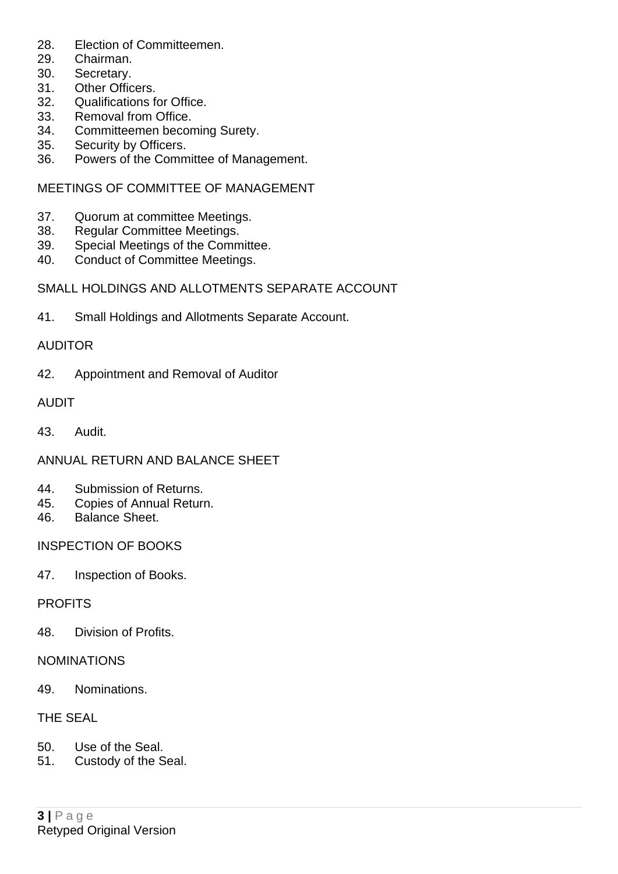- 28. Election of Committeemen.
- 29. Chairman.
- 30. Secretary.
- 31. Other Officers.
- 32. Qualifications for Office.
- 33. Removal from Office.
- 34. Committeemen becoming Surety.
- 35. Security by Officers.
- 36. Powers of the Committee of Management.

#### MEETINGS OF COMMITTEE OF MANAGEMENT

- 37. Quorum at committee Meetings.
- 38. Regular Committee Meetings.
- 39. Special Meetings of the Committee.
- 40. Conduct of Committee Meetings.

#### SMALL HOLDINGS AND ALLOTMENTS SEPARATE ACCOUNT

41. Small Holdings and Allotments Separate Account.

#### AUDITOR

42. Appointment and Removal of Auditor

#### AUDIT

43. Audit.

#### ANNUAL RETURN AND BALANCE SHEET

- 44. Submission of Returns.
- 45. Copies of Annual Return.
- 46. Balance Sheet.

#### INSPECTION OF BOOKS

47. Inspection of Books.

#### **PROFITS**

48. Division of Profits.

#### NOMINATIONS

49. Nominations.

#### THE SEAL

- 50. Use of the Seal.
- 51. Custody of the Seal.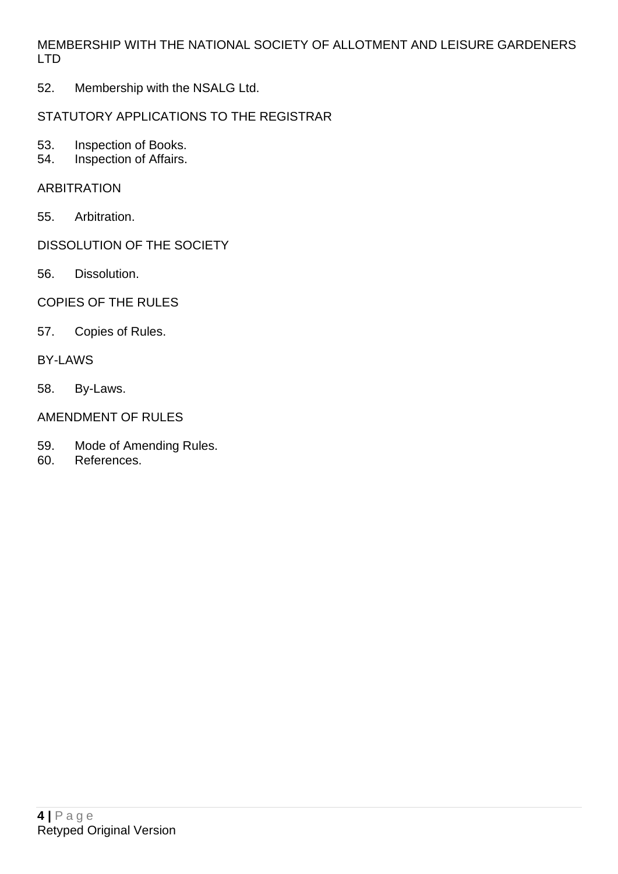MEMBERSHIP WITH THE NATIONAL SOCIETY OF ALLOTMENT AND LEISURE GARDENERS LTD

52. Membership with the NSALG Ltd.

## STATUTORY APPLICATIONS TO THE REGISTRAR

- 53. Inspection of Books.<br>54. Inspection of Affairs.
- Inspection of Affairs.

#### ARBITRATION

55. Arbitration.

# DISSOLUTION OF THE SOCIETY

56. Dissolution.

# COPIES OF THE RULES

57. Copies of Rules.

#### BY-LAWS

58. By-Laws.

# AMENDMENT OF RULES

- 59. Mode of Amending Rules.
- 60. References.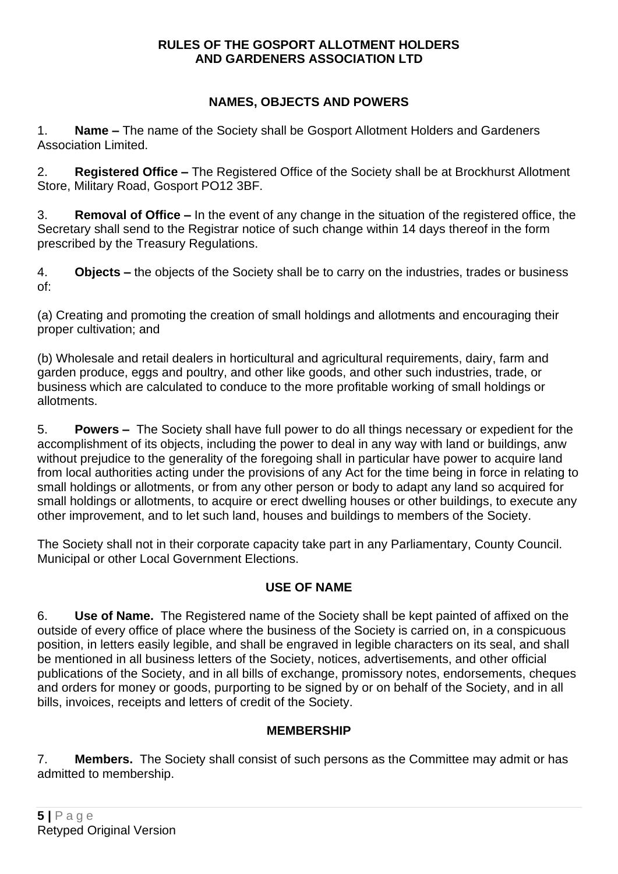#### **RULES OF THE GOSPORT ALLOTMENT HOLDERS AND GARDENERS ASSOCIATION LTD**

# **NAMES, OBJECTS AND POWERS**

1. **Name –** The name of the Society shall be Gosport Allotment Holders and Gardeners Association Limited.

2. **Registered Office –** The Registered Office of the Society shall be at Brockhurst Allotment Store, Military Road, Gosport PO12 3BF.

3. **Removal of Office –** In the event of any change in the situation of the registered office, the Secretary shall send to the Registrar notice of such change within 14 days thereof in the form prescribed by the Treasury Regulations.

4. **Objects –** the objects of the Society shall be to carry on the industries, trades or business of:

(a) Creating and promoting the creation of small holdings and allotments and encouraging their proper cultivation; and

(b) Wholesale and retail dealers in horticultural and agricultural requirements, dairy, farm and garden produce, eggs and poultry, and other like goods, and other such industries, trade, or business which are calculated to conduce to the more profitable working of small holdings or allotments.

5. **Powers –** The Society shall have full power to do all things necessary or expedient for the accomplishment of its objects, including the power to deal in any way with land or buildings, anw without prejudice to the generality of the foregoing shall in particular have power to acquire land from local authorities acting under the provisions of any Act for the time being in force in relating to small holdings or allotments, or from any other person or body to adapt any land so acquired for small holdings or allotments, to acquire or erect dwelling houses or other buildings, to execute any other improvement, and to let such land, houses and buildings to members of the Society.

The Society shall not in their corporate capacity take part in any Parliamentary, County Council. Municipal or other Local Government Elections.

# **USE OF NAME**

6. **Use of Name.** The Registered name of the Society shall be kept painted of affixed on the outside of every office of place where the business of the Society is carried on, in a conspicuous position, in letters easily legible, and shall be engraved in legible characters on its seal, and shall be mentioned in all business letters of the Society, notices, advertisements, and other official publications of the Society, and in all bills of exchange, promissory notes, endorsements, cheques and orders for money or goods, purporting to be signed by or on behalf of the Society, and in all bills, invoices, receipts and letters of credit of the Society.

# **MEMBERSHIP**

7. **Members.** The Society shall consist of such persons as the Committee may admit or has admitted to membership.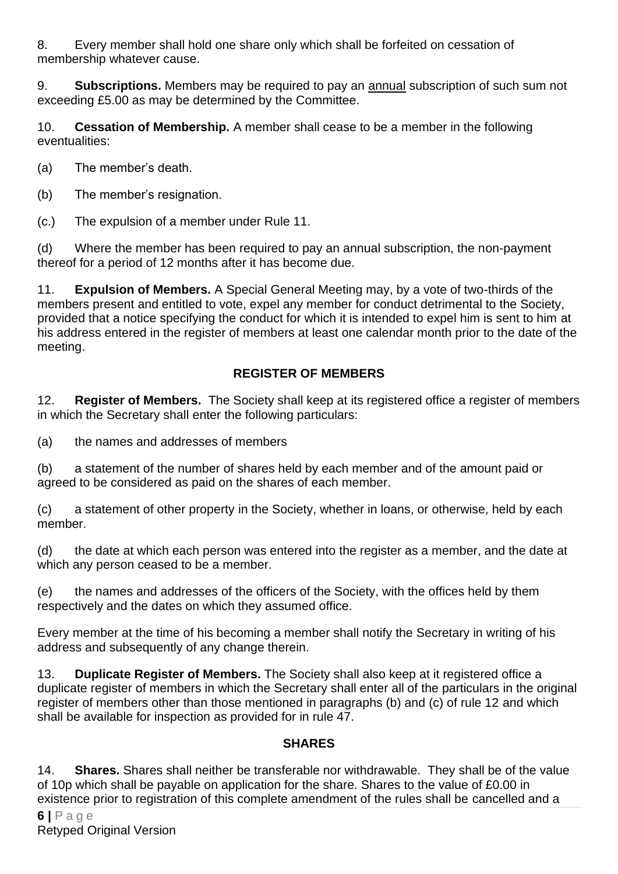8. Every member shall hold one share only which shall be forfeited on cessation of membership whatever cause.

9. **Subscriptions.** Members may be required to pay an annual subscription of such sum not exceeding £5.00 as may be determined by the Committee.

10. **Cessation of Membership.** A member shall cease to be a member in the following eventualities:

(a) The member's death.

(b) The member's resignation.

(c.) The expulsion of a member under Rule 11.

(d) Where the member has been required to pay an annual subscription, the non-payment thereof for a period of 12 months after it has become due.

11. **Expulsion of Members.** A Special General Meeting may, by a vote of two-thirds of the members present and entitled to vote, expel any member for conduct detrimental to the Society, provided that a notice specifying the conduct for which it is intended to expel him is sent to him at his address entered in the register of members at least one calendar month prior to the date of the meeting.

# **REGISTER OF MEMBERS**

12. **Register of Members.** The Society shall keep at its registered office a register of members in which the Secretary shall enter the following particulars:

(a) the names and addresses of members

(b) a statement of the number of shares held by each member and of the amount paid or agreed to be considered as paid on the shares of each member.

(c) a statement of other property in the Society, whether in loans, or otherwise, held by each member.

(d) the date at which each person was entered into the register as a member, and the date at which any person ceased to be a member.

(e) the names and addresses of the officers of the Society, with the offices held by them respectively and the dates on which they assumed office.

Every member at the time of his becoming a member shall notify the Secretary in writing of his address and subsequently of any change therein.

13. **Duplicate Register of Members.** The Society shall also keep at it registered office a duplicate register of members in which the Secretary shall enter all of the particulars in the original register of members other than those mentioned in paragraphs (b) and (c) of rule 12 and which shall be available for inspection as provided for in rule 47.

#### **SHARES**

14. **Shares.** Shares shall neither be transferable nor withdrawable. They shall be of the value of 10p which shall be payable on application for the share. Shares to the value of £0.00 in existence prior to registration of this complete amendment of the rules shall be cancelled and a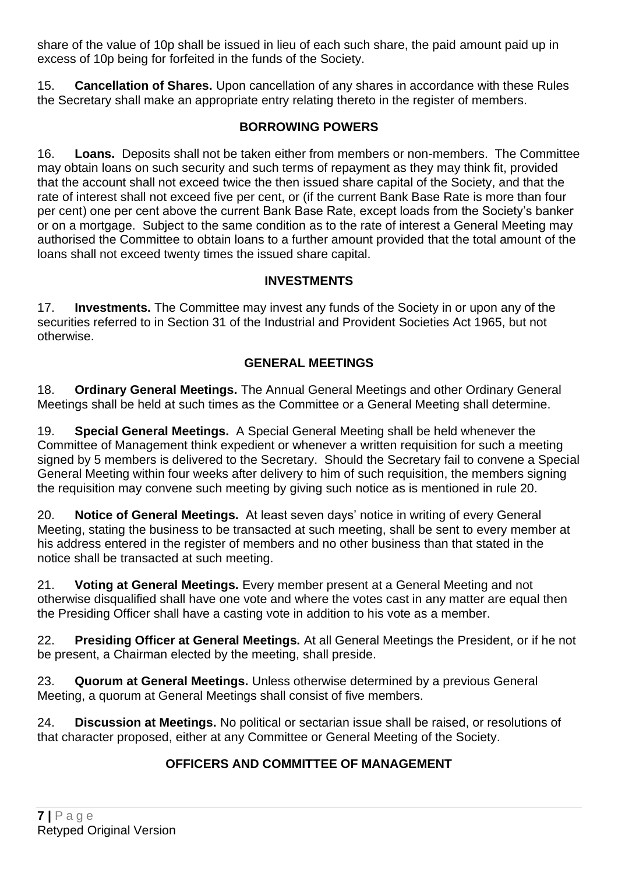share of the value of 10p shall be issued in lieu of each such share, the paid amount paid up in excess of 10p being for forfeited in the funds of the Society.

15. **Cancellation of Shares.** Upon cancellation of any shares in accordance with these Rules the Secretary shall make an appropriate entry relating thereto in the register of members.

# **BORROWING POWERS**

16. **Loans.** Deposits shall not be taken either from members or non-members. The Committee may obtain loans on such security and such terms of repayment as they may think fit, provided that the account shall not exceed twice the then issued share capital of the Society, and that the rate of interest shall not exceed five per cent, or (if the current Bank Base Rate is more than four per cent) one per cent above the current Bank Base Rate, except loads from the Society's banker or on a mortgage. Subject to the same condition as to the rate of interest a General Meeting may authorised the Committee to obtain loans to a further amount provided that the total amount of the loans shall not exceed twenty times the issued share capital.

## **INVESTMENTS**

17. **Investments.** The Committee may invest any funds of the Society in or upon any of the securities referred to in Section 31 of the Industrial and Provident Societies Act 1965, but not otherwise.

# **GENERAL MEETINGS**

18. **Ordinary General Meetings.** The Annual General Meetings and other Ordinary General Meetings shall be held at such times as the Committee or a General Meeting shall determine.

19. **Special General Meetings.** A Special General Meeting shall be held whenever the Committee of Management think expedient or whenever a written requisition for such a meeting signed by 5 members is delivered to the Secretary. Should the Secretary fail to convene a Special General Meeting within four weeks after delivery to him of such requisition, the members signing the requisition may convene such meeting by giving such notice as is mentioned in rule 20.

20. **Notice of General Meetings.** At least seven days' notice in writing of every General Meeting, stating the business to be transacted at such meeting, shall be sent to every member at his address entered in the register of members and no other business than that stated in the notice shall be transacted at such meeting.

21. **Voting at General Meetings.** Every member present at a General Meeting and not otherwise disqualified shall have one vote and where the votes cast in any matter are equal then the Presiding Officer shall have a casting vote in addition to his vote as a member.

22. **Presiding Officer at General Meetings.** At all General Meetings the President, or if he not be present, a Chairman elected by the meeting, shall preside.

23. **Quorum at General Meetings.** Unless otherwise determined by a previous General Meeting, a quorum at General Meetings shall consist of five members.

24. **Discussion at Meetings.** No political or sectarian issue shall be raised, or resolutions of that character proposed, either at any Committee or General Meeting of the Society.

# **OFFICERS AND COMMITTEE OF MANAGEMENT**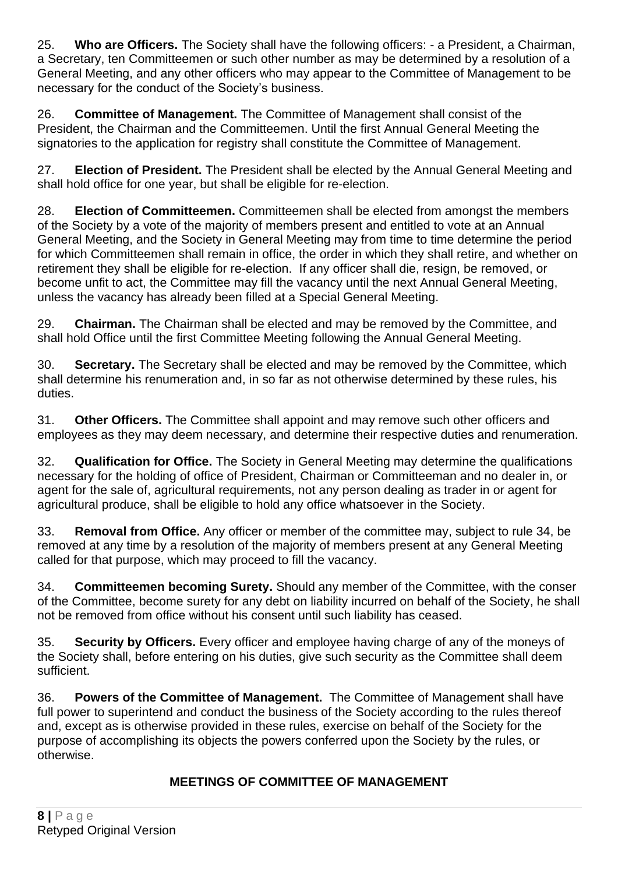25. **Who are Officers.** The Society shall have the following officers: - a President, a Chairman, a Secretary, ten Committeemen or such other number as may be determined by a resolution of a General Meeting, and any other officers who may appear to the Committee of Management to be necessary for the conduct of the Society's business.

26. **Committee of Management.** The Committee of Management shall consist of the President, the Chairman and the Committeemen. Until the first Annual General Meeting the signatories to the application for registry shall constitute the Committee of Management.

27. **Election of President.** The President shall be elected by the Annual General Meeting and shall hold office for one year, but shall be eligible for re-election.

28. **Election of Committeemen.** Committeemen shall be elected from amongst the members of the Society by a vote of the majority of members present and entitled to vote at an Annual General Meeting, and the Society in General Meeting may from time to time determine the period for which Committeemen shall remain in office, the order in which they shall retire, and whether on retirement they shall be eligible for re-election. If any officer shall die, resign, be removed, or become unfit to act, the Committee may fill the vacancy until the next Annual General Meeting, unless the vacancy has already been filled at a Special General Meeting.

29. **Chairman.** The Chairman shall be elected and may be removed by the Committee, and shall hold Office until the first Committee Meeting following the Annual General Meeting.

30. **Secretary.** The Secretary shall be elected and may be removed by the Committee, which shall determine his renumeration and, in so far as not otherwise determined by these rules, his duties.

31. **Other Officers.** The Committee shall appoint and may remove such other officers and employees as they may deem necessary, and determine their respective duties and renumeration.

32. **Qualification for Office.** The Society in General Meeting may determine the qualifications necessary for the holding of office of President, Chairman or Committeeman and no dealer in, or agent for the sale of, agricultural requirements, not any person dealing as trader in or agent for agricultural produce, shall be eligible to hold any office whatsoever in the Society.

33. **Removal from Office.** Any officer or member of the committee may, subject to rule 34, be removed at any time by a resolution of the majority of members present at any General Meeting called for that purpose, which may proceed to fill the vacancy.

34. **Committeemen becoming Surety.** Should any member of the Committee, with the conser of the Committee, become surety for any debt on liability incurred on behalf of the Society, he shall not be removed from office without his consent until such liability has ceased.

35. **Security by Officers.** Every officer and employee having charge of any of the moneys of the Society shall, before entering on his duties, give such security as the Committee shall deem sufficient.

36. **Powers of the Committee of Management.** The Committee of Management shall have full power to superintend and conduct the business of the Society according to the rules thereof and, except as is otherwise provided in these rules, exercise on behalf of the Society for the purpose of accomplishing its objects the powers conferred upon the Society by the rules, or otherwise.

# **MEETINGS OF COMMITTEE OF MANAGEMENT**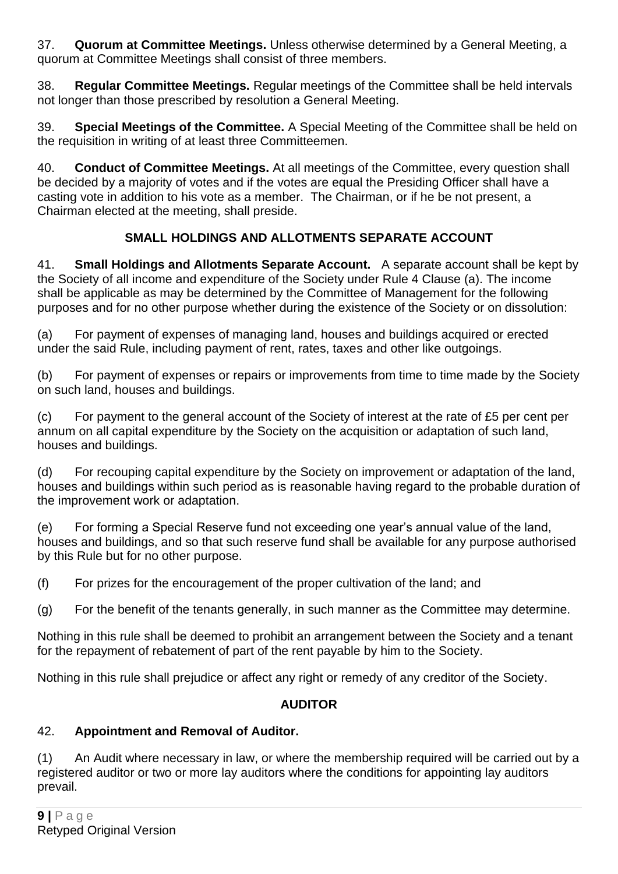37. **Quorum at Committee Meetings.** Unless otherwise determined by a General Meeting, a quorum at Committee Meetings shall consist of three members.

38. **Regular Committee Meetings.** Regular meetings of the Committee shall be held intervals not longer than those prescribed by resolution a General Meeting.

39. **Special Meetings of the Committee.** A Special Meeting of the Committee shall be held on the requisition in writing of at least three Committeemen.

40. **Conduct of Committee Meetings.** At all meetings of the Committee, every question shall be decided by a majority of votes and if the votes are equal the Presiding Officer shall have a casting vote in addition to his vote as a member. The Chairman, or if he be not present, a Chairman elected at the meeting, shall preside.

# **SMALL HOLDINGS AND ALLOTMENTS SEPARATE ACCOUNT**

41. **Small Holdings and Allotments Separate Account.** A separate account shall be kept by the Society of all income and expenditure of the Society under Rule 4 Clause (a). The income shall be applicable as may be determined by the Committee of Management for the following purposes and for no other purpose whether during the existence of the Society or on dissolution:

(a) For payment of expenses of managing land, houses and buildings acquired or erected under the said Rule, including payment of rent, rates, taxes and other like outgoings.

(b) For payment of expenses or repairs or improvements from time to time made by the Society on such land, houses and buildings.

(c) For payment to the general account of the Society of interest at the rate of £5 per cent per annum on all capital expenditure by the Society on the acquisition or adaptation of such land, houses and buildings.

(d) For recouping capital expenditure by the Society on improvement or adaptation of the land, houses and buildings within such period as is reasonable having regard to the probable duration of the improvement work or adaptation.

(e) For forming a Special Reserve fund not exceeding one year's annual value of the land, houses and buildings, and so that such reserve fund shall be available for any purpose authorised by this Rule but for no other purpose.

(f) For prizes for the encouragement of the proper cultivation of the land; and

(g) For the benefit of the tenants generally, in such manner as the Committee may determine.

Nothing in this rule shall be deemed to prohibit an arrangement between the Society and a tenant for the repayment of rebatement of part of the rent payable by him to the Society.

Nothing in this rule shall prejudice or affect any right or remedy of any creditor of the Society.

# **AUDITOR**

# 42. **Appointment and Removal of Auditor.**

(1) An Audit where necessary in law, or where the membership required will be carried out by a registered auditor or two or more lay auditors where the conditions for appointing lay auditors prevail.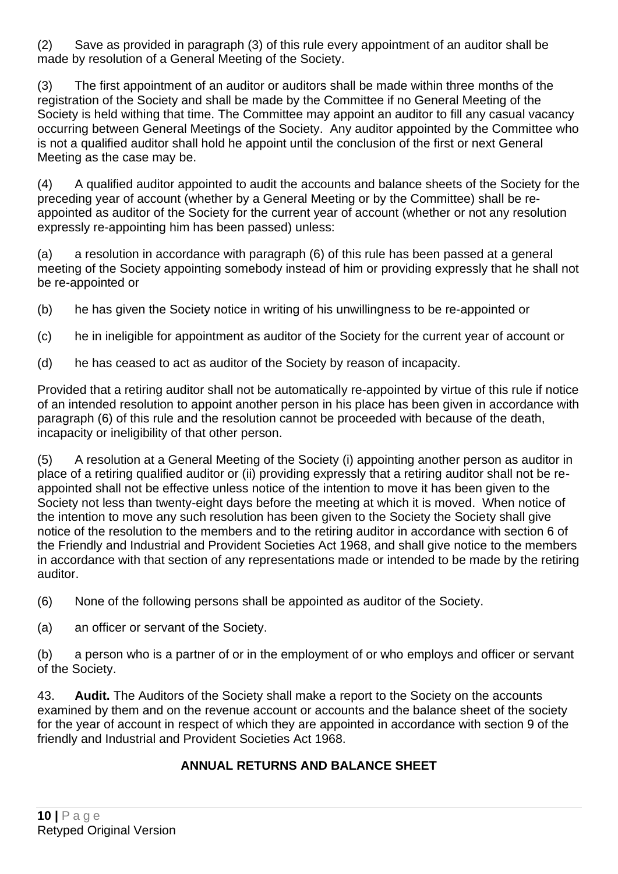(2) Save as provided in paragraph (3) of this rule every appointment of an auditor shall be made by resolution of a General Meeting of the Society.

(3) The first appointment of an auditor or auditors shall be made within three months of the registration of the Society and shall be made by the Committee if no General Meeting of the Society is held withing that time. The Committee may appoint an auditor to fill any casual vacancy occurring between General Meetings of the Society. Any auditor appointed by the Committee who is not a qualified auditor shall hold he appoint until the conclusion of the first or next General Meeting as the case may be.

(4) A qualified auditor appointed to audit the accounts and balance sheets of the Society for the preceding year of account (whether by a General Meeting or by the Committee) shall be reappointed as auditor of the Society for the current year of account (whether or not any resolution expressly re-appointing him has been passed) unless:

(a) a resolution in accordance with paragraph (6) of this rule has been passed at a general meeting of the Society appointing somebody instead of him or providing expressly that he shall not be re-appointed or

(b) he has given the Society notice in writing of his unwillingness to be re-appointed or

- (c) he in ineligible for appointment as auditor of the Society for the current year of account or
- (d) he has ceased to act as auditor of the Society by reason of incapacity.

Provided that a retiring auditor shall not be automatically re-appointed by virtue of this rule if notice of an intended resolution to appoint another person in his place has been given in accordance with paragraph (6) of this rule and the resolution cannot be proceeded with because of the death, incapacity or ineligibility of that other person.

(5) A resolution at a General Meeting of the Society (i) appointing another person as auditor in place of a retiring qualified auditor or (ii) providing expressly that a retiring auditor shall not be reappointed shall not be effective unless notice of the intention to move it has been given to the Society not less than twenty-eight days before the meeting at which it is moved. When notice of the intention to move any such resolution has been given to the Society the Society shall give notice of the resolution to the members and to the retiring auditor in accordance with section 6 of the Friendly and Industrial and Provident Societies Act 1968, and shall give notice to the members in accordance with that section of any representations made or intended to be made by the retiring auditor.

- (6) None of the following persons shall be appointed as auditor of the Society.
- (a) an officer or servant of the Society.

(b) a person who is a partner of or in the employment of or who employs and officer or servant of the Society.

43. **Audit.** The Auditors of the Society shall make a report to the Society on the accounts examined by them and on the revenue account or accounts and the balance sheet of the society for the year of account in respect of which they are appointed in accordance with section 9 of the friendly and Industrial and Provident Societies Act 1968.

# **ANNUAL RETURNS AND BALANCE SHEET**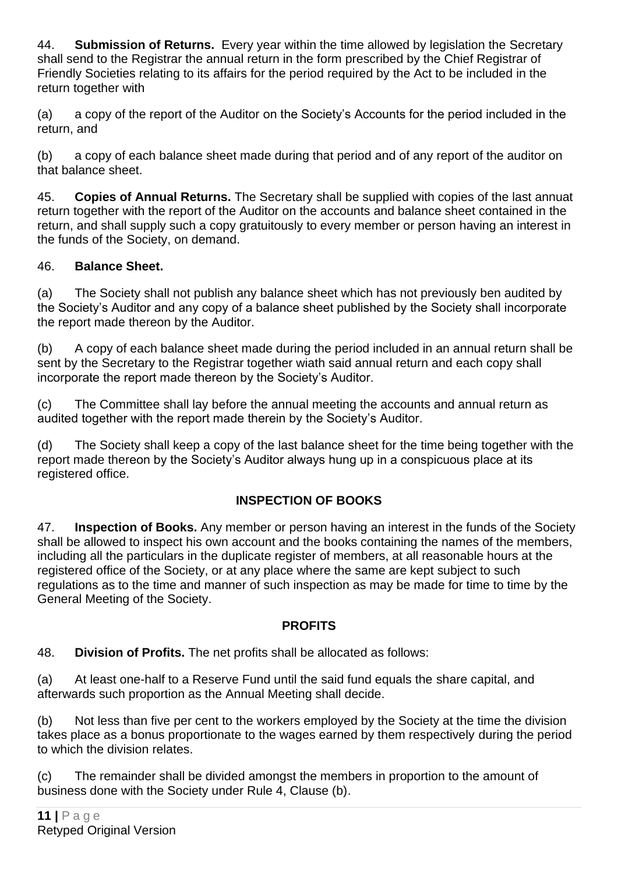44. **Submission of Returns.** Every year within the time allowed by legislation the Secretary shall send to the Registrar the annual return in the form prescribed by the Chief Registrar of Friendly Societies relating to its affairs for the period required by the Act to be included in the return together with

(a) a copy of the report of the Auditor on the Society's Accounts for the period included in the return, and

(b) a copy of each balance sheet made during that period and of any report of the auditor on that balance sheet.

45. **Copies of Annual Returns.** The Secretary shall be supplied with copies of the last annuat return together with the report of the Auditor on the accounts and balance sheet contained in the return, and shall supply such a copy gratuitously to every member or person having an interest in the funds of the Society, on demand.

# 46. **Balance Sheet.**

(a) The Society shall not publish any balance sheet which has not previously ben audited by the Society's Auditor and any copy of a balance sheet published by the Society shall incorporate the report made thereon by the Auditor.

(b) A copy of each balance sheet made during the period included in an annual return shall be sent by the Secretary to the Registrar together wiath said annual return and each copy shall incorporate the report made thereon by the Society's Auditor.

(c) The Committee shall lay before the annual meeting the accounts and annual return as audited together with the report made therein by the Society's Auditor.

(d) The Society shall keep a copy of the last balance sheet for the time being together with the report made thereon by the Society's Auditor always hung up in a conspicuous place at its registered office.

# **INSPECTION OF BOOKS**

47. **Inspection of Books.** Any member or person having an interest in the funds of the Society shall be allowed to inspect his own account and the books containing the names of the members, including all the particulars in the duplicate register of members, at all reasonable hours at the registered office of the Society, or at any place where the same are kept subject to such regulations as to the time and manner of such inspection as may be made for time to time by the General Meeting of the Society.

#### **PROFITS**

48. **Division of Profits.** The net profits shall be allocated as follows:

(a) At least one-half to a Reserve Fund until the said fund equals the share capital, and afterwards such proportion as the Annual Meeting shall decide.

(b) Not less than five per cent to the workers employed by the Society at the time the division takes place as a bonus proportionate to the wages earned by them respectively during the period to which the division relates.

(c) The remainder shall be divided amongst the members in proportion to the amount of business done with the Society under Rule 4, Clause (b).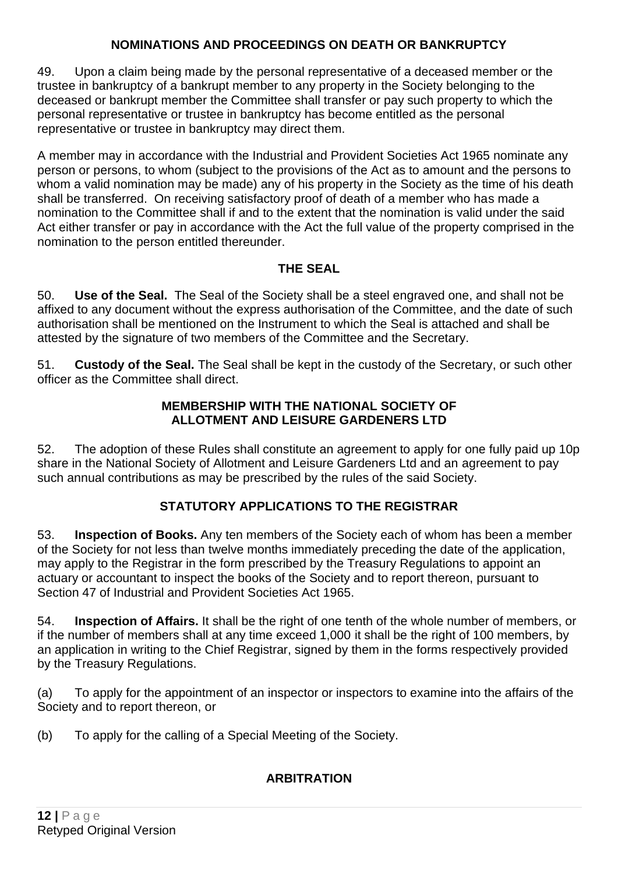## **NOMINATIONS AND PROCEEDINGS ON DEATH OR BANKRUPTCY**

49. Upon a claim being made by the personal representative of a deceased member or the trustee in bankruptcy of a bankrupt member to any property in the Society belonging to the deceased or bankrupt member the Committee shall transfer or pay such property to which the personal representative or trustee in bankruptcy has become entitled as the personal representative or trustee in bankruptcy may direct them.

A member may in accordance with the Industrial and Provident Societies Act 1965 nominate any person or persons, to whom (subject to the provisions of the Act as to amount and the persons to whom a valid nomination may be made) any of his property in the Society as the time of his death shall be transferred. On receiving satisfactory proof of death of a member who has made a nomination to the Committee shall if and to the extent that the nomination is valid under the said Act either transfer or pay in accordance with the Act the full value of the property comprised in the nomination to the person entitled thereunder.

## **THE SEAL**

50. **Use of the Seal.** The Seal of the Society shall be a steel engraved one, and shall not be affixed to any document without the express authorisation of the Committee, and the date of such authorisation shall be mentioned on the Instrument to which the Seal is attached and shall be attested by the signature of two members of the Committee and the Secretary.

51. **Custody of the Seal.** The Seal shall be kept in the custody of the Secretary, or such other officer as the Committee shall direct.

#### **MEMBERSHIP WITH THE NATIONAL SOCIETY OF ALLOTMENT AND LEISURE GARDENERS LTD**

52. The adoption of these Rules shall constitute an agreement to apply for one fully paid up 10p share in the National Society of Allotment and Leisure Gardeners Ltd and an agreement to pay such annual contributions as may be prescribed by the rules of the said Society.

# **STATUTORY APPLICATIONS TO THE REGISTRAR**

53. **Inspection of Books.** Any ten members of the Society each of whom has been a member of the Society for not less than twelve months immediately preceding the date of the application, may apply to the Registrar in the form prescribed by the Treasury Regulations to appoint an actuary or accountant to inspect the books of the Society and to report thereon, pursuant to Section 47 of Industrial and Provident Societies Act 1965.

54. **Inspection of Affairs.** It shall be the right of one tenth of the whole number of members, or if the number of members shall at any time exceed 1,000 it shall be the right of 100 members, by an application in writing to the Chief Registrar, signed by them in the forms respectively provided by the Treasury Regulations.

(a) To apply for the appointment of an inspector or inspectors to examine into the affairs of the Society and to report thereon, or

(b) To apply for the calling of a Special Meeting of the Society.

# **ARBITRATION**